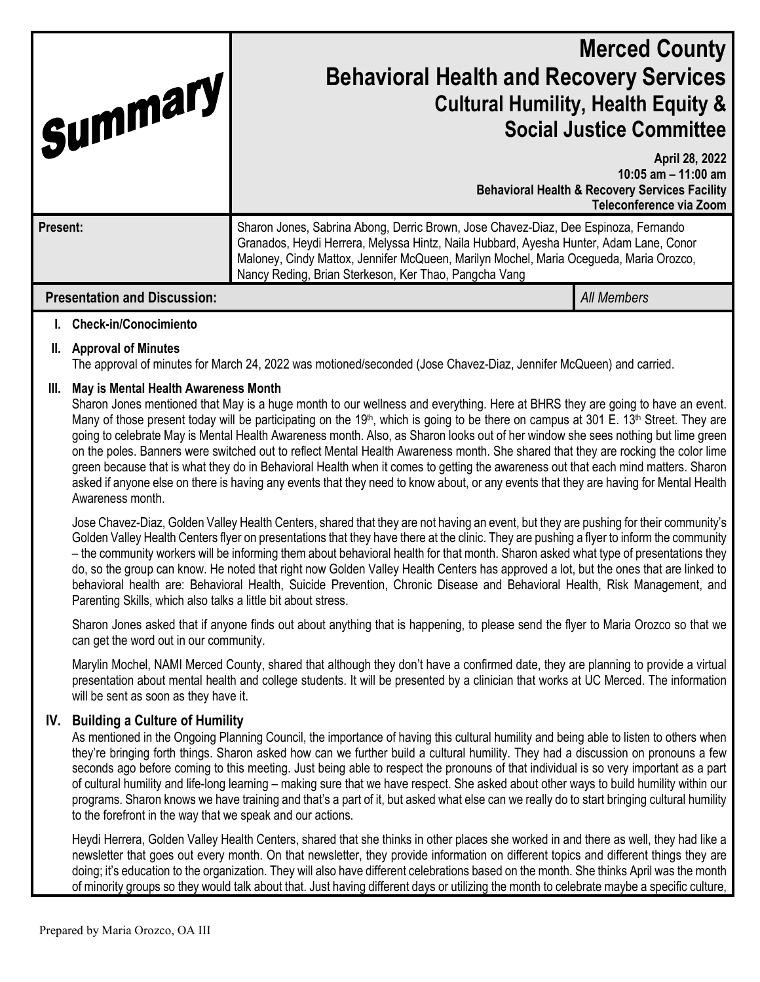| 'Summary<br><b>Present:</b> |                                                                                                                                                                                                                                                                                                                                                                                                                                                                                                                                                                                                                                                                                                                                                                                                                                                                                                                                                                                                                                                                                                                                                                                                                                                                                                                                                                                                                                                                                                                                                                                                                                                                                  | <b>Merced County</b><br><b>Behavioral Health and Recovery Services</b><br><b>Cultural Humility, Health Equity &amp;</b><br><b>Social Justice Committee</b><br>April 28, 2022<br>10:05 am $-$ 11:00 am<br><b>Behavioral Health &amp; Recovery Services Facility</b><br>Teleconference via Zoom<br>Sharon Jones, Sabrina Abong, Derric Brown, Jose Chavez-Diaz, Dee Espinoza, Fernando<br>Granados, Heydi Herrera, Melyssa Hintz, Naila Hubbard, Ayesha Hunter, Adam Lane, Conor<br>Maloney, Cindy Mattox, Jennifer McQueen, Marilyn Mochel, Maria Ocegueda, Maria Orozco,<br>Nancy Reding, Brian Sterkeson, Ker Thao, Pangcha Vang |                    |
|-----------------------------|----------------------------------------------------------------------------------------------------------------------------------------------------------------------------------------------------------------------------------------------------------------------------------------------------------------------------------------------------------------------------------------------------------------------------------------------------------------------------------------------------------------------------------------------------------------------------------------------------------------------------------------------------------------------------------------------------------------------------------------------------------------------------------------------------------------------------------------------------------------------------------------------------------------------------------------------------------------------------------------------------------------------------------------------------------------------------------------------------------------------------------------------------------------------------------------------------------------------------------------------------------------------------------------------------------------------------------------------------------------------------------------------------------------------------------------------------------------------------------------------------------------------------------------------------------------------------------------------------------------------------------------------------------------------------------|-----------------------------------------------------------------------------------------------------------------------------------------------------------------------------------------------------------------------------------------------------------------------------------------------------------------------------------------------------------------------------------------------------------------------------------------------------------------------------------------------------------------------------------------------------------------------------------------------------------------------------------|--------------------|
|                             | <b>Presentation and Discussion:</b>                                                                                                                                                                                                                                                                                                                                                                                                                                                                                                                                                                                                                                                                                                                                                                                                                                                                                                                                                                                                                                                                                                                                                                                                                                                                                                                                                                                                                                                                                                                                                                                                                                              |                                                                                                                                                                                                                                                                                                                                                                                                                                                                                                                                                                                                                                   | <b>All Members</b> |
| L.                          | <b>Check-in/Conocimiento</b>                                                                                                                                                                                                                                                                                                                                                                                                                                                                                                                                                                                                                                                                                                                                                                                                                                                                                                                                                                                                                                                                                                                                                                                                                                                                                                                                                                                                                                                                                                                                                                                                                                                     |                                                                                                                                                                                                                                                                                                                                                                                                                                                                                                                                                                                                                                   |                    |
| II.                         | <b>Approval of Minutes</b><br>The approval of minutes for March 24, 2022 was motioned/seconded (Jose Chavez-Diaz, Jennifer McQueen) and carried.                                                                                                                                                                                                                                                                                                                                                                                                                                                                                                                                                                                                                                                                                                                                                                                                                                                                                                                                                                                                                                                                                                                                                                                                                                                                                                                                                                                                                                                                                                                                 |                                                                                                                                                                                                                                                                                                                                                                                                                                                                                                                                                                                                                                   |                    |
| III.                        | May is Mental Health Awareness Month<br>Sharon Jones mentioned that May is a huge month to our wellness and everything. Here at BHRS they are going to have an event.<br>Many of those present today will be participating on the 19 <sup>th</sup> , which is going to be there on campus at 301 E. 13 <sup>th</sup> Street. They are<br>going to celebrate May is Mental Health Awareness month. Also, as Sharon looks out of her window she sees nothing but lime green<br>on the poles. Banners were switched out to reflect Mental Health Awareness month. She shared that they are rocking the color lime<br>green because that is what they do in Behavioral Health when it comes to getting the awareness out that each mind matters. Sharon<br>asked if anyone else on there is having any events that they need to know about, or any events that they are having for Mental Health<br>Awareness month.<br>Jose Chavez-Diaz, Golden Valley Health Centers, shared that they are not having an event, but they are pushing for their community's<br>Golden Valley Health Centers flyer on presentations that they have there at the clinic. They are pushing a flyer to inform the community<br>- the community workers will be informing them about behavioral health for that month. Sharon asked what type of presentations they<br>do, so the group can know. He noted that right now Golden Valley Health Centers has approved a lot, but the ones that are linked to<br>behavioral health are: Behavioral Health, Suicide Prevention, Chronic Disease and Behavioral Health, Risk Management, and<br>Parenting Skills, which also talks a little bit about stress. |                                                                                                                                                                                                                                                                                                                                                                                                                                                                                                                                                                                                                                   |                    |
|                             | Sharon Jones asked that if anyone finds out about anything that is happening, to please send the flyer to Maria Orozco so that we<br>can get the word out in our community.                                                                                                                                                                                                                                                                                                                                                                                                                                                                                                                                                                                                                                                                                                                                                                                                                                                                                                                                                                                                                                                                                                                                                                                                                                                                                                                                                                                                                                                                                                      |                                                                                                                                                                                                                                                                                                                                                                                                                                                                                                                                                                                                                                   |                    |
|                             | Marylin Mochel, NAMI Merced County, shared that although they don't have a confirmed date, they are planning to provide a virtual<br>presentation about mental health and college students. It will be presented by a clinician that works at UC Merced. The information<br>will be sent as soon as they have it.                                                                                                                                                                                                                                                                                                                                                                                                                                                                                                                                                                                                                                                                                                                                                                                                                                                                                                                                                                                                                                                                                                                                                                                                                                                                                                                                                                |                                                                                                                                                                                                                                                                                                                                                                                                                                                                                                                                                                                                                                   |                    |
| IV.                         | <b>Building a Culture of Humility</b><br>As mentioned in the Ongoing Planning Council, the importance of having this cultural humility and being able to listen to others when<br>they're bringing forth things. Sharon asked how can we further build a cultural humility. They had a discussion on pronouns a few<br>seconds ago before coming to this meeting. Just being able to respect the pronouns of that individual is so very important as a part<br>of cultural humility and life-long learning - making sure that we have respect. She asked about other ways to build humility within our<br>programs. Sharon knows we have training and that's a part of it, but asked what else can we really do to start bringing cultural humility<br>to the forefront in the way that we speak and our actions.                                                                                                                                                                                                                                                                                                                                                                                                                                                                                                                                                                                                                                                                                                                                                                                                                                                                |                                                                                                                                                                                                                                                                                                                                                                                                                                                                                                                                                                                                                                   |                    |
|                             | Heydi Herrera, Golden Valley Health Centers, shared that she thinks in other places she worked in and there as well, they had like a<br>newsletter that goes out every month. On that newsletter, they provide information on different topics and different things they are<br>doing; it's education to the organization. They will also have different celebrations based on the month. She thinks April was the month<br>of minority groups so they would talk about that. Just having different days or utilizing the month to celebrate maybe a specific culture,                                                                                                                                                                                                                                                                                                                                                                                                                                                                                                                                                                                                                                                                                                                                                                                                                                                                                                                                                                                                                                                                                                           |                                                                                                                                                                                                                                                                                                                                                                                                                                                                                                                                                                                                                                   |                    |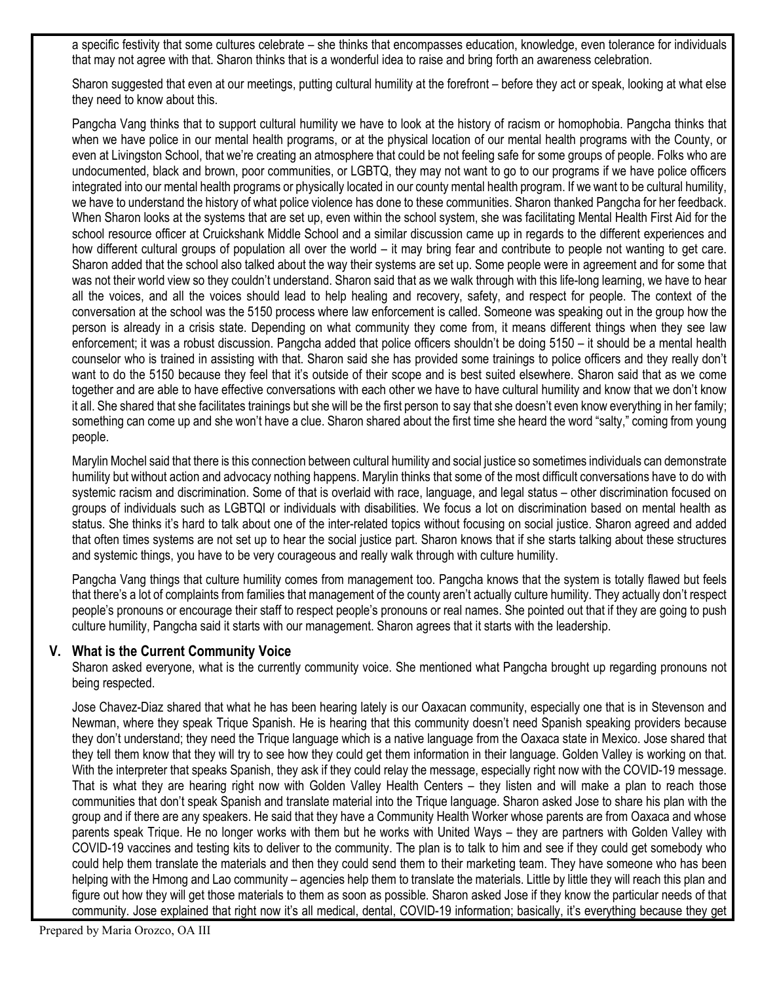a specific festivity that some cultures celebrate – she thinks that encompasses education, knowledge, even tolerance for individuals that may not agree with that. Sharon thinks that is a wonderful idea to raise and bring forth an awareness celebration.

Sharon suggested that even at our meetings, putting cultural humility at the forefront – before they act or speak, looking at what else they need to know about this.

Pangcha Vang thinks that to support cultural humility we have to look at the history of racism or homophobia. Pangcha thinks that when we have police in our mental health programs, or at the physical location of our mental health programs with the County, or even at Livingston School, that we're creating an atmosphere that could be not feeling safe for some groups of people. Folks who are undocumented, black and brown, poor communities, or LGBTQ, they may not want to go to our programs if we have police officers integrated into our mental health programs or physically located in our county mental health program. If we want to be cultural humility, we have to understand the history of what police violence has done to these communities. Sharon thanked Pangcha for her feedback. When Sharon looks at the systems that are set up, even within the school system, she was facilitating Mental Health First Aid for the school resource officer at Cruickshank Middle School and a similar discussion came up in regards to the different experiences and how different cultural groups of population all over the world – it may bring fear and contribute to people not wanting to get care. Sharon added that the school also talked about the way their systems are set up. Some people were in agreement and for some that was not their world view so they couldn't understand. Sharon said that as we walk through with this life-long learning, we have to hear all the voices, and all the voices should lead to help healing and recovery, safety, and respect for people. The context of the conversation at the school was the 5150 process where law enforcement is called. Someone was speaking out in the group how the person is already in a crisis state. Depending on what community they come from, it means different things when they see law enforcement; it was a robust discussion. Pangcha added that police officers shouldn't be doing 5150 – it should be a mental health counselor who is trained in assisting with that. Sharon said she has provided some trainings to police officers and they really don't want to do the 5150 because they feel that it's outside of their scope and is best suited elsewhere. Sharon said that as we come together and are able to have effective conversations with each other we have to have cultural humility and know that we don't know it all. She shared that she facilitates trainings but she will be the first person to say that she doesn't even know everything in her family; something can come up and she won't have a clue. Sharon shared about the first time she heard the word "salty," coming from young people.

Marylin Mochel said that there is this connection between cultural humility and social justice so sometimes individuals can demonstrate humility but without action and advocacy nothing happens. Marylin thinks that some of the most difficult conversations have to do with systemic racism and discrimination. Some of that is overlaid with race, language, and legal status – other discrimination focused on groups of individuals such as LGBTQI or individuals with disabilities. We focus a lot on discrimination based on mental health as status. She thinks it's hard to talk about one of the inter-related topics without focusing on social justice. Sharon agreed and added that often times systems are not set up to hear the social justice part. Sharon knows that if she starts talking about these structures and systemic things, you have to be very courageous and really walk through with culture humility.

Pangcha Vang things that culture humility comes from management too. Pangcha knows that the system is totally flawed but feels that there's a lot of complaints from families that management of the county aren't actually culture humility. They actually don't respect people's pronouns or encourage their staff to respect people's pronouns or real names. She pointed out that if they are going to push culture humility, Pangcha said it starts with our management. Sharon agrees that it starts with the leadership.

# **V. What is the Current Community Voice**

Sharon asked everyone, what is the currently community voice. She mentioned what Pangcha brought up regarding pronouns not being respected.

Jose Chavez-Diaz shared that what he has been hearing lately is our Oaxacan community, especially one that is in Stevenson and Newman, where they speak Trique Spanish. He is hearing that this community doesn't need Spanish speaking providers because they don't understand; they need the Trique language which is a native language from the Oaxaca state in Mexico. Jose shared that they tell them know that they will try to see how they could get them information in their language. Golden Valley is working on that. With the interpreter that speaks Spanish, they ask if they could relay the message, especially right now with the COVID-19 message. That is what they are hearing right now with Golden Valley Health Centers – they listen and will make a plan to reach those communities that don't speak Spanish and translate material into the Trique language. Sharon asked Jose to share his plan with the group and if there are any speakers. He said that they have a Community Health Worker whose parents are from Oaxaca and whose parents speak Trique. He no longer works with them but he works with United Ways – they are partners with Golden Valley with COVID-19 vaccines and testing kits to deliver to the community. The plan is to talk to him and see if they could get somebody who could help them translate the materials and then they could send them to their marketing team. They have someone who has been helping with the Hmong and Lao community – agencies help them to translate the materials. Little by little they will reach this plan and figure out how they will get those materials to them as soon as possible. Sharon asked Jose if they know the particular needs of that community. Jose explained that right now it's all medical, dental, COVID-19 information; basically, it's everything because they get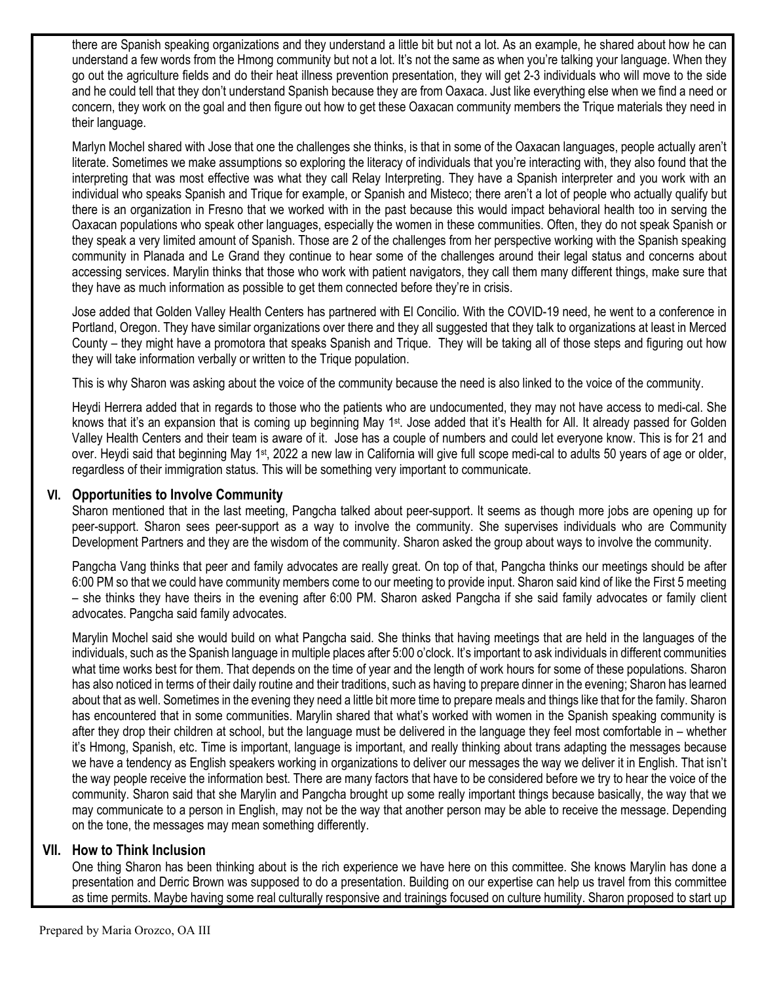there are Spanish speaking organizations and they understand a little bit but not a lot. As an example, he shared about how he can understand a few words from the Hmong community but not a lot. It's not the same as when you're talking your language. When they go out the agriculture fields and do their heat illness prevention presentation, they will get 2-3 individuals who will move to the side and he could tell that they don't understand Spanish because they are from Oaxaca. Just like everything else when we find a need or concern, they work on the goal and then figure out how to get these Oaxacan community members the Trique materials they need in their language.

Marlyn Mochel shared with Jose that one the challenges she thinks, is that in some of the Oaxacan languages, people actually aren't literate. Sometimes we make assumptions so exploring the literacy of individuals that you're interacting with, they also found that the interpreting that was most effective was what they call Relay Interpreting. They have a Spanish interpreter and you work with an individual who speaks Spanish and Trique for example, or Spanish and Misteco; there aren't a lot of people who actually qualify but there is an organization in Fresno that we worked with in the past because this would impact behavioral health too in serving the Oaxacan populations who speak other languages, especially the women in these communities. Often, they do not speak Spanish or they speak a very limited amount of Spanish. Those are 2 of the challenges from her perspective working with the Spanish speaking community in Planada and Le Grand they continue to hear some of the challenges around their legal status and concerns about accessing services. Marylin thinks that those who work with patient navigators, they call them many different things, make sure that they have as much information as possible to get them connected before they're in crisis.

Jose added that Golden Valley Health Centers has partnered with El Concilio. With the COVID-19 need, he went to a conference in Portland, Oregon. They have similar organizations over there and they all suggested that they talk to organizations at least in Merced County – they might have a promotora that speaks Spanish and Trique. They will be taking all of those steps and figuring out how they will take information verbally or written to the Trique population.

This is why Sharon was asking about the voice of the community because the need is also linked to the voice of the community.

Heydi Herrera added that in regards to those who the patients who are undocumented, they may not have access to medi-cal. She knows that it's an expansion that is coming up beginning May 1<sup>st</sup>. Jose added that it's Health for All. It already passed for Golden Valley Health Centers and their team is aware of it. Jose has a couple of numbers and could let everyone know. This is for 21 and over. Heydi said that beginning May 1<sup>st</sup>, 2022 a new law in California will give full scope medi-cal to adults 50 years of age or older, regardless of their immigration status. This will be something very important to communicate.

### **VI. Opportunities to Involve Community**

Sharon mentioned that in the last meeting, Pangcha talked about peer-support. It seems as though more jobs are opening up for peer-support. Sharon sees peer-support as a way to involve the community. She supervises individuals who are Community Development Partners and they are the wisdom of the community. Sharon asked the group about ways to involve the community.

Pangcha Vang thinks that peer and family advocates are really great. On top of that, Pangcha thinks our meetings should be after 6:00 PM so that we could have community members come to our meeting to provide input. Sharon said kind of like the First 5 meeting – she thinks they have theirs in the evening after 6:00 PM. Sharon asked Pangcha if she said family advocates or family client advocates. Pangcha said family advocates.

Marylin Mochel said she would build on what Pangcha said. She thinks that having meetings that are held in the languages of the individuals, such as the Spanish language in multiple places after 5:00 o'clock. It's important to ask individuals in different communities what time works best for them. That depends on the time of year and the length of work hours for some of these populations. Sharon has also noticed in terms of their daily routine and their traditions, such as having to prepare dinner in the evening; Sharon has learned about that as well. Sometimes in the evening they need a little bit more time to prepare meals and things like that for the family. Sharon has encountered that in some communities. Marylin shared that what's worked with women in the Spanish speaking community is after they drop their children at school, but the language must be delivered in the language they feel most comfortable in – whether it's Hmong, Spanish, etc. Time is important, language is important, and really thinking about trans adapting the messages because we have a tendency as English speakers working in organizations to deliver our messages the way we deliver it in English. That isn't the way people receive the information best. There are many factors that have to be considered before we try to hear the voice of the community. Sharon said that she Marylin and Pangcha brought up some really important things because basically, the way that we may communicate to a person in English, may not be the way that another person may be able to receive the message. Depending on the tone, the messages may mean something differently.

#### **VII. How to Think Inclusion**

One thing Sharon has been thinking about is the rich experience we have here on this committee. She knows Marylin has done a presentation and Derric Brown was supposed to do a presentation. Building on our expertise can help us travel from this committee as time permits. Maybe having some real culturally responsive and trainings focused on culture humility. Sharon proposed to start up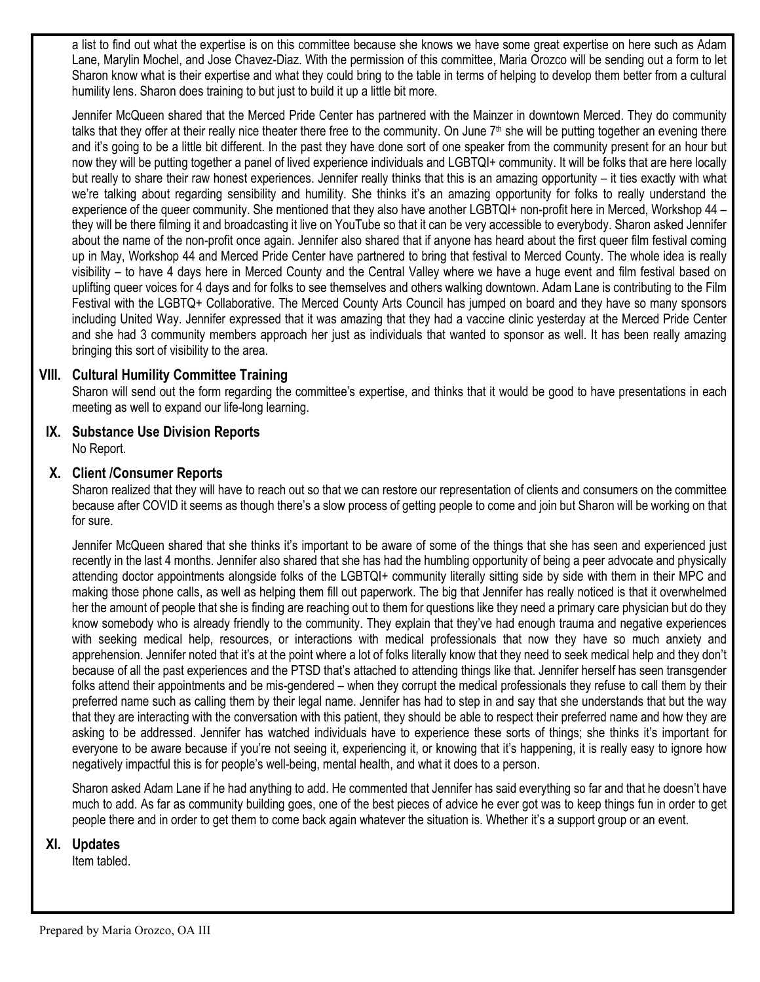a list to find out what the expertise is on this committee because she knows we have some great expertise on here such as Adam Lane, Marylin Mochel, and Jose Chavez-Diaz. With the permission of this committee, Maria Orozco will be sending out a form to let Sharon know what is their expertise and what they could bring to the table in terms of helping to develop them better from a cultural humility lens. Sharon does training to but just to build it up a little bit more.

Jennifer McQueen shared that the Merced Pride Center has partnered with the Mainzer in downtown Merced. They do community talks that they offer at their really nice theater there free to the community. On June  $7<sup>th</sup>$  she will be putting together an evening there and it's going to be a little bit different. In the past they have done sort of one speaker from the community present for an hour but now they will be putting together a panel of lived experience individuals and LGBTQI+ community. It will be folks that are here locally but really to share their raw honest experiences. Jennifer really thinks that this is an amazing opportunity – it ties exactly with what we're talking about regarding sensibility and humility. She thinks it's an amazing opportunity for folks to really understand the experience of the queer community. She mentioned that they also have another LGBTQI+ non-profit here in Merced, Workshop 44 – they will be there filming it and broadcasting it live on YouTube so that it can be very accessible to everybody. Sharon asked Jennifer about the name of the non-profit once again. Jennifer also shared that if anyone has heard about the first queer film festival coming up in May, Workshop 44 and Merced Pride Center have partnered to bring that festival to Merced County. The whole idea is really visibility – to have 4 days here in Merced County and the Central Valley where we have a huge event and film festival based on uplifting queer voices for 4 days and for folks to see themselves and others walking downtown. Adam Lane is contributing to the Film Festival with the LGBTQ+ Collaborative. The Merced County Arts Council has jumped on board and they have so many sponsors including United Way. Jennifer expressed that it was amazing that they had a vaccine clinic yesterday at the Merced Pride Center and she had 3 community members approach her just as individuals that wanted to sponsor as well. It has been really amazing bringing this sort of visibility to the area.

# **VIII. Cultural Humility Committee Training**

Sharon will send out the form regarding the committee's expertise, and thinks that it would be good to have presentations in each meeting as well to expand our life-long learning.

# **IX. Substance Use Division Reports**

No Report.

### **X. Client /Consumer Reports**

Sharon realized that they will have to reach out so that we can restore our representation of clients and consumers on the committee because after COVID it seems as though there's a slow process of getting people to come and join but Sharon will be working on that for sure.

Jennifer McQueen shared that she thinks it's important to be aware of some of the things that she has seen and experienced just recently in the last 4 months. Jennifer also shared that she has had the humbling opportunity of being a peer advocate and physically attending doctor appointments alongside folks of the LGBTQI+ community literally sitting side by side with them in their MPC and making those phone calls, as well as helping them fill out paperwork. The big that Jennifer has really noticed is that it overwhelmed her the amount of people that she is finding are reaching out to them for questions like they need a primary care physician but do they know somebody who is already friendly to the community. They explain that they've had enough trauma and negative experiences with seeking medical help, resources, or interactions with medical professionals that now they have so much anxiety and apprehension. Jennifer noted that it's at the point where a lot of folks literally know that they need to seek medical help and they don't because of all the past experiences and the PTSD that's attached to attending things like that. Jennifer herself has seen transgender folks attend their appointments and be mis-gendered – when they corrupt the medical professionals they refuse to call them by their preferred name such as calling them by their legal name. Jennifer has had to step in and say that she understands that but the way that they are interacting with the conversation with this patient, they should be able to respect their preferred name and how they are asking to be addressed. Jennifer has watched individuals have to experience these sorts of things; she thinks it's important for everyone to be aware because if you're not seeing it, experiencing it, or knowing that it's happening, it is really easy to ignore how negatively impactful this is for people's well-being, mental health, and what it does to a person.

Sharon asked Adam Lane if he had anything to add. He commented that Jennifer has said everything so far and that he doesn't have much to add. As far as community building goes, one of the best pieces of advice he ever got was to keep things fun in order to get people there and in order to get them to come back again whatever the situation is. Whether it's a support group or an event.

# **XI. Updates**

Item tabled.